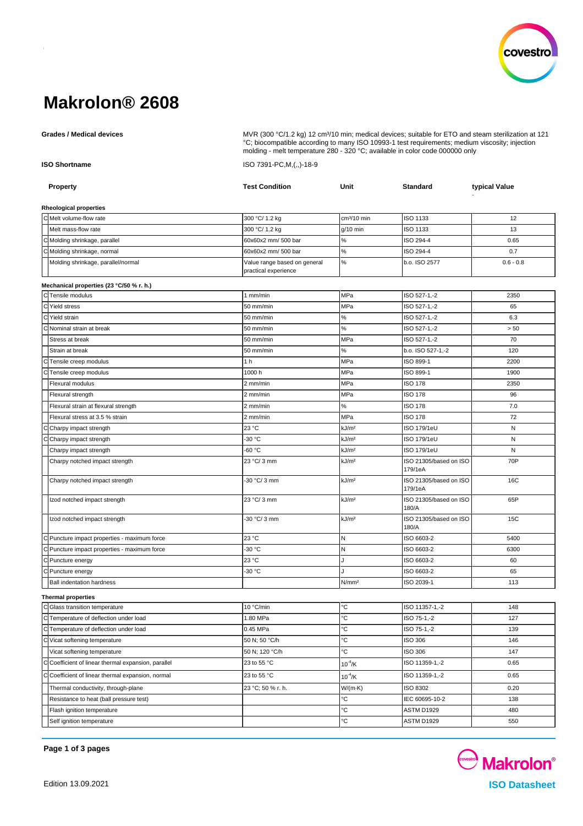

# **Makrolon® 2608**

Grades / Medical devices **Multiple and State Comedia Constructed MVR** (300 °C/1.2 kg) 12 cm<sup>3</sup>/10 min; medical devices; suitable for ETO and steam sterilization at 121 °C; biocompatible according to many ISO 10993-1 test requirements; medium viscosity; injection molding - melt temperature 280 - 320 °C; available in color code 000000 only

**ISO Shortname** ISO 7391-PC,M,(,,)-18-9

| <b>Property</b>                                          | <b>Test Condition</b>        | Unit                    | Standard                          | typical Value |
|----------------------------------------------------------|------------------------------|-------------------------|-----------------------------------|---------------|
|                                                          |                              |                         |                                   |               |
| <b>Rheological properties</b><br>C Melt volume-flow rate | 300 °C/ 1.2 kg               | cm <sup>3</sup> /10 min | ISO 1133                          | 12            |
| Melt mass-flow rate                                      | 300 °C/ 1.2 kg               | $g/10$ min              | ISO 1133                          | 13            |
| C Molding shrinkage, parallel                            | 60x60x2 mm/ 500 bar          | $\%$                    | ISO 294-4                         | 0.65          |
| C Molding shrinkage, normal                              | 60x60x2 mm/ 500 bar          | $\%$                    | ISO 294-4                         | 0.7           |
| Molding shrinkage, parallel/normal                       | Value range based on general | $\%$                    | b.o. ISO 2577                     | $0.6 - 0.8$   |
|                                                          | practical experience         |                         |                                   |               |
| Mechanical properties (23 °C/50 % r. h.)                 |                              |                         |                                   |               |
| C Tensile modulus                                        | 1 mm/min                     | MPa                     | ISO 527-1,-2                      | 2350          |
| C Yield stress                                           | 50 mm/min                    | MPa                     | ISO 527-1,-2                      | 65            |
| C Yield strain                                           | 50 mm/min                    | ℅                       | ISO 527-1,-2                      | 6.3           |
| C Nominal strain at break                                | 50 mm/min                    | $\%$                    | ISO 527-1,-2                      | > 50          |
| Stress at break                                          | 50 mm/min                    | MPa                     | ISO 527-1,-2                      | 70            |
| Strain at break                                          | 50 mm/min                    | $\%$                    | b.o. ISO 527-1,-2                 | 120           |
| CTensile creep modulus                                   | 1 <sub>h</sub>               | MPa                     | ISO 899-1                         | 2200          |
| Tensile creep modulus                                    | 1000 h                       | MPa                     | ISO 899-1                         | 1900          |
| <b>Flexural modulus</b>                                  | 2 mm/min                     | MPa                     | <b>ISO 178</b>                    | 2350          |
| Flexural strength                                        | 2 mm/min                     | MPa                     | <b>ISO 178</b>                    | 96            |
| Flexural strain at flexural strength                     | 2 mm/min                     | ℅                       | <b>ISO 178</b>                    | 7.0           |
| Flexural stress at 3.5 % strain                          | 2 mm/min                     | MPa                     | <b>ISO 178</b>                    | 72            |
| Charpy impact strength                                   | 23 °C                        | kJ/m <sup>2</sup>       | <b>ISO 179/1eU</b>                | N             |
| Charpy impact strength                                   | -30 °C                       | kJ/m <sup>2</sup>       | <b>ISO 179/1eU</b>                | N             |
| Charpy impact strength                                   | -60 °C                       | kJ/m <sup>2</sup>       | <b>ISO 179/1eU</b>                | N             |
| Charpy notched impact strength                           | 23 °C/ 3 mm                  | kJ/m <sup>2</sup>       | ISO 21305/based on ISO<br>179/1eA | 70P           |
| Charpy notched impact strength                           | -30 °C/ 3 mm                 | kJ/m <sup>2</sup>       | ISO 21305/based on ISO<br>179/1eA | 16C           |
| Izod notched impact strength                             | 23 °C/ 3 mm                  | kJ/m <sup>2</sup>       | ISO 21305/based on ISO<br>180/A   | 65P           |
| Izod notched impact strength                             | 30 °C/ 3 mm                  | kJ/m <sup>2</sup>       | ISO 21305/based on ISO<br>180/A   | 15C           |
| C Puncture impact properties - maximum force             | 23 °C                        | $\mathsf{N}$            | ISO 6603-2                        | 5400          |
| C Puncture impact properties - maximum force             | 30 °C                        | N                       | ISO 6603-2                        | 6300          |
| C Puncture energy                                        | 23 °C                        | J                       | ISO 6603-2                        | 60            |
| C Puncture energy                                        | -30 °C                       |                         | ISO 6603-2                        | 65            |
| <b>Ball indentation hardness</b>                         |                              | N/mm <sup>2</sup>       | ISO 2039-1                        | 113           |
| <b>Thermal properties</b>                                |                              |                         |                                   |               |
| C Glass transition temperature                           | 10 °C/min                    | °C                      | ISO 11357-1,-2                    | 148           |
| C Temperature of deflection under load                   | 1.80 MPa                     | °C                      | ISO 75-1,-2                       | 127           |
| C Temperature of deflection under load                   | 0.45 MPa                     | °C                      | ISO 75-1,-2                       | 139           |
| C Vicat softening temperature                            | 50 N; 50 °C/h                | °C                      | ISO 306                           | 146           |
| Vicat softening temperature                              | 50 N; 120 °C/h               | °С                      | ISO 306                           | 147           |
| C Coefficient of linear thermal expansion, parallel      | 23 to 55 °C                  | $10^{-4}$ /K            | ISO 11359-1,-2                    | 0.65          |
| Coefficient of linear thermal expansion, normal          | 23 to 55 °C                  | $10^{-4}$ /K            | ISO 11359-1,-2                    | 0.65          |
| Thermal conductivity, through-plane                      | 23 °C; 50 % r. h.            | $W/(m \cdot K)$         | ISO 8302                          | 0.20          |
| Resistance to heat (ball pressure test)                  |                              | °C                      | IEC 60695-10-2                    | 138           |
| Flash ignition temperature                               |                              | °C                      | ASTM D1929                        | 480           |
| Self ignition temperature                                |                              | ℃                       | ASTM D1929                        | 550           |

**Page 1 of 3 pages**

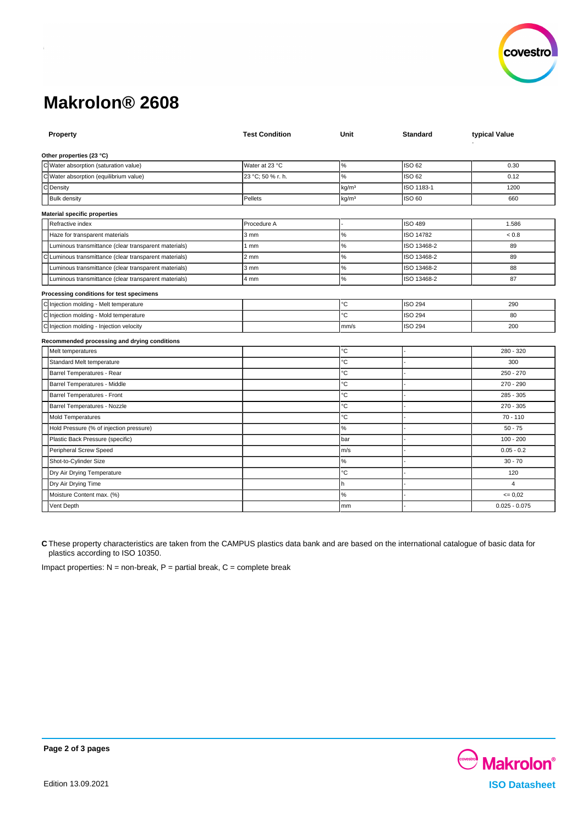

# **Makrolon® 2608**

| Property                                               | <b>Test Condition</b> | Unit              | <b>Standard</b> | typical Value   |
|--------------------------------------------------------|-----------------------|-------------------|-----------------|-----------------|
| Other properties (23 °C)                               |                       |                   |                 |                 |
| C Water absorption (saturation value)                  | Water at 23 °C        | $\%$              | ISO 62          | 0.30            |
| C Water absorption (equilibrium value)                 | 23 °C; 50 % r. h.     | %                 | ISO 62          | 0.12            |
| d<br>Density                                           |                       | kg/m <sup>3</sup> | ISO 1183-1      | 1200            |
| <b>Bulk density</b>                                    | Pellets               | kq/m <sup>3</sup> | ISO 60          | 660             |
| <b>Material specific properties</b>                    |                       |                   |                 |                 |
| Refractive index                                       | Procedure A           |                   | <b>ISO 489</b>  | 1.586           |
| Haze for transparent materials                         | 3 mm                  | $\%$              | ISO 14782       | < 0.8           |
| Luminous transmittance (clear transparent materials)   | 1 <sub>mm</sub>       | $\%$              | ISO 13468-2     | 89              |
| C Luminous transmittance (clear transparent materials) | 2 mm                  | $\%$              | ISO 13468-2     | 89              |
| Luminous transmittance (clear transparent materials)   | 3 mm                  | $\%$              | ISO 13468-2     | 88              |
| Luminous transmittance (clear transparent materials)   | 4 mm                  | $\%$              | ISO 13468-2     | 87              |
| Processing conditions for test specimens               |                       |                   |                 |                 |
| C Injection molding - Melt temperature                 |                       | °C                | <b>ISO 294</b>  | 290             |
| C Injection molding - Mold temperature                 |                       | °C                | <b>ISO 294</b>  | 80              |
| C Injection molding - Injection velocity               |                       | mm/s              | <b>ISO 294</b>  | 200             |
| Recommended processing and drying conditions           |                       |                   |                 |                 |
| Melt temperatures                                      |                       | °C                |                 | 280 - 320       |
| Standard Melt temperature                              |                       | °C                |                 | 300             |
| Barrel Temperatures - Rear                             |                       | °C                |                 | $250 - 270$     |
| Barrel Temperatures - Middle                           |                       | °C                |                 | 270 - 290       |
| Barrel Temperatures - Front                            |                       | °C                |                 | $285 - 305$     |
| Barrel Temperatures - Nozzle                           |                       | °C                |                 | $270 - 305$     |
| <b>Mold Temperatures</b>                               |                       | °C                |                 | $70 - 110$      |
| Hold Pressure (% of injection pressure)                |                       | $\%$              |                 | $50 - 75$       |
| Plastic Back Pressure (specific)                       |                       | bar               |                 | $100 - 200$     |
| Peripheral Screw Speed                                 |                       | m/s               |                 | $0.05 - 0.2$    |
| Shot-to-Cylinder Size                                  |                       | $\%$              |                 | $30 - 70$       |
| Dry Air Drying Temperature                             |                       | °C                |                 | 120             |
| Dry Air Drying Time                                    |                       | h                 |                 | $\overline{4}$  |
| Moisture Content max. (%)                              |                       | $\%$              |                 | $= 0.02$        |
| Vent Depth                                             |                       | mm                |                 | $0.025 - 0.075$ |

**C** These property characteristics are taken from the CAMPUS plastics data bank and are based on the international catalogue of basic data for plastics according to ISO 10350.

Impact properties:  $N =$  non-break,  $P =$  partial break,  $C =$  complete break